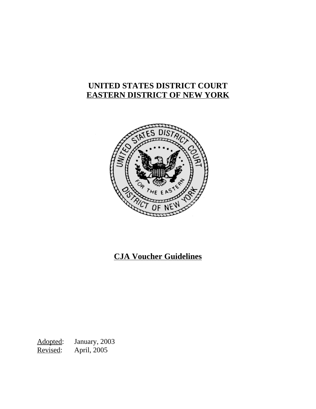# **UNITED STATES DISTRICT COURT EASTERN DISTRICT OF NEW YORK**



# **CJA Voucher Guidelines**

Adopted: January, 2003 Revised: April, 2005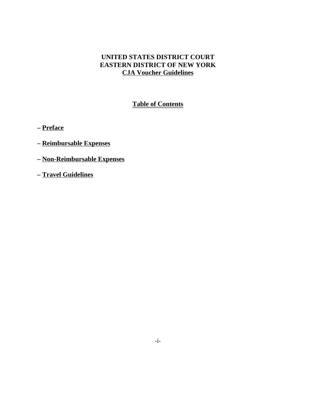# **UNITED STATES DISTRICT COURT EASTERN DISTRICT OF NEW YORK CJA Voucher Guidelines**

# **Table of Contents**

**– Preface**

- **Reimbursable Expenses**
- **Non-Reimbursable Expenses**
- **Travel Guidelines**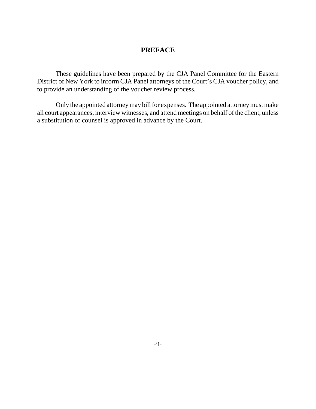# **PREFACE**

These guidelines have been prepared by the CJA Panel Committee for the Eastern District of New York to inform CJA Panel attorneys of the Court's CJA voucher policy, and to provide an understanding of the voucher review process.

Only the appointed attorney may bill for expenses. The appointed attorney must make all court appearances, interview witnesses, and attend meetings on behalf of the client, unless a substitution of counsel is approved in advance by the Court.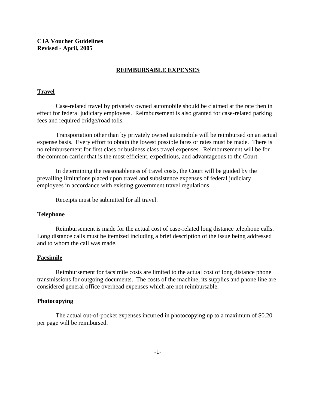**CJA Voucher Guidelines Revised - April, 2005**

#### **REIMBURSABLE EXPENSES**

#### **Travel**

Case-related travel by privately owned automobile should be claimed at the rate then in effect for federal judiciary employees. Reimbursement is also granted for case-related parking fees and required bridge/road tolls.

Transportation other than by privately owned automobile will be reimbursed on an actual expense basis. Every effort to obtain the lowest possible fares or rates must be made. There is no reimbursement for first class or business class travel expenses. Reimbursement will be for the common carrier that is the most efficient, expeditious, and advantageous to the Court.

In determining the reasonableness of travel costs, the Court will be guided by the prevailing limitations placed upon travel and subsistence expenses of federal judiciary employees in accordance with existing government travel regulations.

Receipts must be submitted for all travel.

#### **Telephone**

Reimbursement is made for the actual cost of case-related long distance telephone calls. Long distance calls must be itemized including a brief description of the issue being addressed and to whom the call was made.

#### **Facsimile**

Reimbursement for facsimile costs are limited to the actual cost of long distance phone transmissions for outgoing documents. The costs of the machine, its supplies and phone line are considered general office overhead expenses which are not reimbursable.

#### **Photocopying**

The actual out-of-pocket expenses incurred in photocopying up to a maximum of \$0.20 per page will be reimbursed.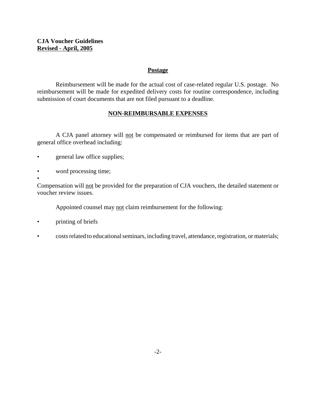## **CJA Voucher Guidelines Revised - April, 2005**

## **Postage**

Reimbursement will be made for the actual cost of case-related regular U.S. postage. No reimbursement will be made for expedited delivery costs for routine correspondence, including submission of court documents that are not filed pursuant to a deadline.

## **NON-REIMBURSABLE EXPENSES**

A CJA panel attorney will not be compensated or reimbursed for items that are part of general office overhead including:

- general law office supplies;
- word processing time;

• Compensation will not be provided for the preparation of CJA vouchers, the detailed statement or voucher review issues.

Appointed counsel may not claim reimbursement for the following:

- printing of briefs
- costs related to educational seminars, including travel, attendance, registration, or materials;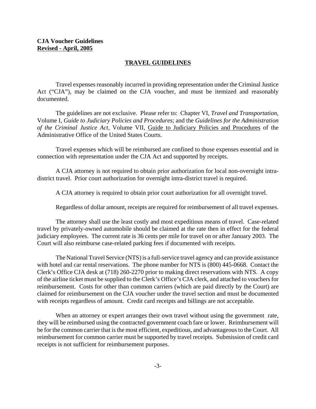### **TRAVEL GUIDELINES**

Travel expenses reasonably incurred in providing representation under the Criminal Justice Act ("CJA"), may be claimed on the CJA voucher, and must be itemized and reasonably documented.

The guidelines are not exclusive. Please refer to: Chapter VI, *Travel and Transportation*, Volume I, *Guide to Judiciary Policies and Procedures*; and the *Guidelines for the Administration of the Criminal Justice Act*, Volume VII, Guide to Judiciary Policies and Procedures of the Administrative Office of the United States Courts.

Travel expenses which will be reimbursed are confined to those expenses essential and in connection with representation under the CJA Act and supported by receipts.

A CJA attorney is not required to obtain prior authorization for local non-overnight intradistrict travel. Prior court authorization for overnight intra-district travel is required.

A CJA attorney is required to obtain prior court authorization for all overnight travel.

Regardless of dollar amount, receipts are required for reimbursement of all travel expenses.

The attorney shall use the least costly and most expeditious means of travel. Case-related travel by privately-owned automobile should be claimed at the rate then in effect for the federal judiciary employees. The current rate is 36 cents per mile for travel on or after January 2003. The Court will also reimburse case-related parking fees if documented with receipts.

The National Travel Service (NTS) is a full-service travel agency and can provide assistance with hotel and car rental reservations. The phone number for NTS is (800) 445-0668. Contact the Clerk's Office CJA desk at (718) 260-2270 prior to making direct reservations with NTS. A copy of the airline ticket must be supplied to the Clerk's Office's CJA clerk, and attached to vouchers for reimbursement. Costs for other than common carriers (which are paid directly by the Court) are claimed for reimbursement on the CJA voucher under the travel section and must be documented with receipts regardless of amount. Credit card receipts and billings are not acceptable.

When an attorney or expert arranges their own travel without using the government rate, they will be reimbursed using the contracted government coach fare or lower. Reimbursement will be for the common carrier that is the most efficient, expeditious, and advantageous to the Court. All reimbursement for common carrier must be supported by travel receipts. Submission of credit card receipts is not sufficient for reimbursement purposes.